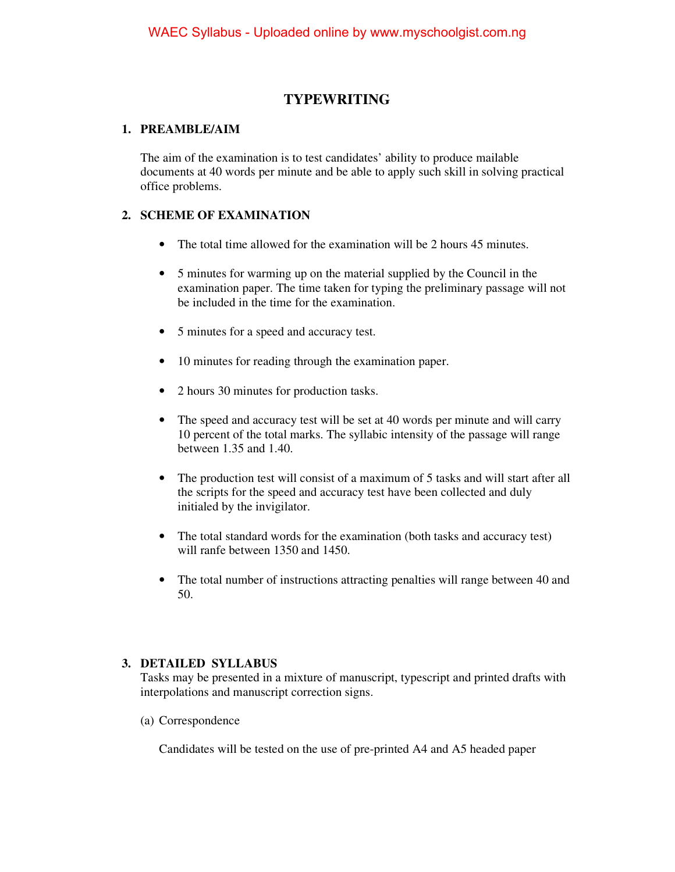## **TYPEWRITING**

#### **1. PREAMBLE/AIM**

The aim of the examination is to test candidates' ability to produce mailable documents at 40 words per minute and be able to apply such skill in solving practical office problems.

### **2. SCHEME OF EXAMINATION**

- The total time allowed for the examination will be 2 hours 45 minutes.
- 5 minutes for warming up on the material supplied by the Council in the examination paper. The time taken for typing the preliminary passage will not be included in the time for the examination.
- 5 minutes for a speed and accuracy test.
- 10 minutes for reading through the examination paper.
- 2 hours 30 minutes for production tasks.
- The speed and accuracy test will be set at 40 words per minute and will carry 10 percent of the total marks. The syllabic intensity of the passage will range between 1.35 and 1.40.
- The production test will consist of a maximum of 5 tasks and will start after all the scripts for the speed and accuracy test have been collected and duly initialed by the invigilator.
- The total standard words for the examination (both tasks and accuracy test) will ranfe between 1350 and 1450.
- The total number of instructions attracting penalties will range between 40 and 50.

#### **3. DETAILED SYLLABUS**

Tasks may be presented in a mixture of manuscript, typescript and printed drafts with interpolations and manuscript correction signs.

(a) Correspondence

Candidates will be tested on the use of pre-printed A4 and A5 headed paper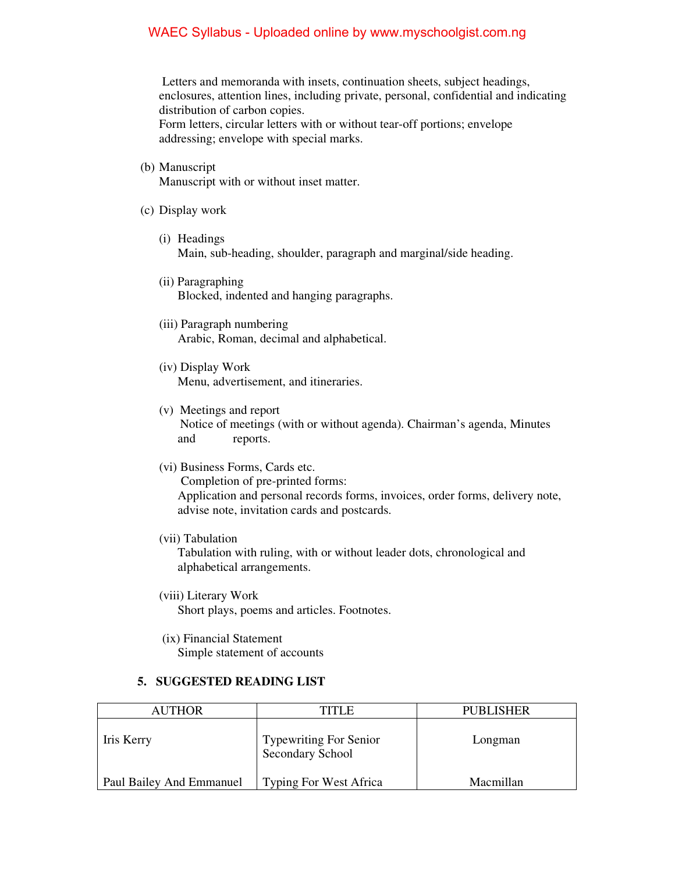#### WAEC Syllabus - Uploaded online by www.myschoolgist.com.ng

 Letters and memoranda with insets, continuation sheets, subject headings, enclosures, attention lines, including private, personal, confidential and indicating distribution of carbon copies. Form letters, circular letters with or without tear-off portions; envelope addressing; envelope with special marks.

(b) Manuscript

Manuscript with or without inset matter.

- (c) Display work
	- (i) Headings Main, sub-heading, shoulder, paragraph and marginal/side heading.
	- (ii) Paragraphing Blocked, indented and hanging paragraphs.
	- (iii) Paragraph numbering Arabic, Roman, decimal and alphabetical.
	- (iv) Display Work Menu, advertisement, and itineraries.
	- (v) Meetings and report Notice of meetings (with or without agenda). Chairman's agenda, Minutes and reports.
	- (vi) Business Forms, Cards etc. Completion of pre-printed forms: Application and personal records forms, invoices, order forms, delivery note, advise note, invitation cards and postcards.
	- (vii) Tabulation

Tabulation with ruling, with or without leader dots, chronological and alphabetical arrangements.

- (viii) Literary Work Short plays, poems and articles. Footnotes.
- (ix) Financial Statement Simple statement of accounts

#### **5. SUGGESTED READING LIST**

| <b>AUTHOR</b>            | TITI E                                            | <b>PUBLISHER</b> |
|--------------------------|---------------------------------------------------|------------------|
| Iris Kerry               | <b>Typewriting For Senior</b><br>Secondary School | Longman          |
| Paul Bailey And Emmanuel | <b>Typing For West Africa</b>                     | Macmillan        |